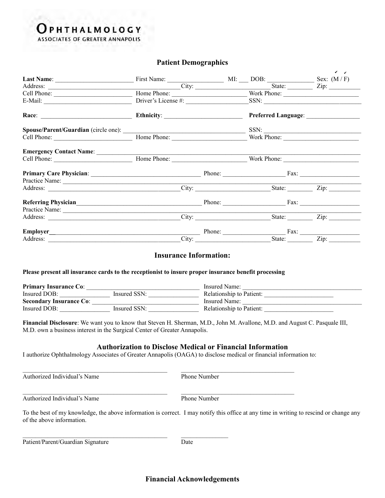# **PHTHALMOLOGY**

**ASSOCIATES OF GREATER ANNAPOLIS** 

## **Patient Demographics**

|                                                                                                                                                                                                                                  |                                                                                                                                                                                                                                         |       |                                              | $\checkmark$ $\checkmark$ |  |
|----------------------------------------------------------------------------------------------------------------------------------------------------------------------------------------------------------------------------------|-----------------------------------------------------------------------------------------------------------------------------------------------------------------------------------------------------------------------------------------|-------|----------------------------------------------|---------------------------|--|
|                                                                                                                                                                                                                                  | Address: City: City:                                                                                                                                                                                                                    |       |                                              |                           |  |
|                                                                                                                                                                                                                                  |                                                                                                                                                                                                                                         |       |                                              |                           |  |
| E-Mail: $\qquad \qquad$                                                                                                                                                                                                          | Driver's License #:                                                                                                                                                                                                                     |       | SSN:                                         |                           |  |
|                                                                                                                                                                                                                                  |                                                                                                                                                                                                                                         |       |                                              |                           |  |
|                                                                                                                                                                                                                                  |                                                                                                                                                                                                                                         |       | SSN:                                         |                           |  |
|                                                                                                                                                                                                                                  |                                                                                                                                                                                                                                         |       | Work Phone:                                  |                           |  |
| Emergency Contact Name:                                                                                                                                                                                                          |                                                                                                                                                                                                                                         |       |                                              |                           |  |
|                                                                                                                                                                                                                                  | Cell Phone: <del>Manual Collection</del> Home Phone: Manual Collection Collection Collection Collection Collection Collection Collection Collection Collection Collection Collection Collection Collection Collection Collection Collec |       | Work Phone:                                  |                           |  |
|                                                                                                                                                                                                                                  |                                                                                                                                                                                                                                         |       |                                              |                           |  |
|                                                                                                                                                                                                                                  |                                                                                                                                                                                                                                         |       |                                              |                           |  |
|                                                                                                                                                                                                                                  |                                                                                                                                                                                                                                         |       | City: <u>City:</u> State: <u>City:</u> City: |                           |  |
| Referring Physician<br>Phone: Phone: Phone: Phone: Phone: Phone: Phone: Phone: Phone: Phone: Phone: Phone: Phone: Phone: Phone: Phone: Phone: Phone: Phone: Phone: Phone: Phone: Phone: Phone: Phone: Phone: Phone: Phone: Phone |                                                                                                                                                                                                                                         |       |                                              |                           |  |
| Practice Name:                                                                                                                                                                                                                   |                                                                                                                                                                                                                                         |       |                                              |                           |  |
|                                                                                                                                                                                                                                  |                                                                                                                                                                                                                                         | City: |                                              | State: Zip:               |  |
|                                                                                                                                                                                                                                  |                                                                                                                                                                                                                                         |       | Phone: Fax: Fax:                             |                           |  |
|                                                                                                                                                                                                                                  |                                                                                                                                                                                                                                         | City: | State:                                       |                           |  |

#### **Insurance Information:**

#### **Please present all insurance cards to the receptionist to insure proper insurance benefit processing**

| <b>Primary Insurance Co:</b>   |              | Insured Name:            |  |  |
|--------------------------------|--------------|--------------------------|--|--|
| Insured DOB:                   | Insured SSN: | Relationship to Patient: |  |  |
| <b>Secondary Insurance Co:</b> |              | Insured Name:            |  |  |
| Insured DOB:                   | Insured SSN: | Relationship to Patient: |  |  |

**Financial Disclosure**: We want you to know that Steven H. Sherman, M.D., John M. Avallone, M.D. and August C. Pasquale III, M.D. own a business interest in the Surgical Center of Greater Annapolis.

## **Authorization to Disclose Medical or Financial Information**

I authorize Ophthalmology Associates of Greater Annapolis (OAGA) to disclose medical or financial information to:

 $\mathcal{L}_\mathcal{L} = \{ \mathcal{L}_\mathcal{L} = \{ \mathcal{L}_\mathcal{L} = \{ \mathcal{L}_\mathcal{L} = \{ \mathcal{L}_\mathcal{L} = \{ \mathcal{L}_\mathcal{L} = \{ \mathcal{L}_\mathcal{L} = \{ \mathcal{L}_\mathcal{L} = \{ \mathcal{L}_\mathcal{L} = \{ \mathcal{L}_\mathcal{L} = \{ \mathcal{L}_\mathcal{L} = \{ \mathcal{L}_\mathcal{L} = \{ \mathcal{L}_\mathcal{L} = \{ \mathcal{L}_\mathcal{L} = \{ \mathcal{L}_\mathcal{$ 

 $\mathcal{L}_\text{max} = \mathcal{L}_\text{max} = \mathcal{L}_\text{max} = \mathcal{L}_\text{max} = \mathcal{L}_\text{max} = \mathcal{L}_\text{max} = \mathcal{L}_\text{max} = \mathcal{L}_\text{max} = \mathcal{L}_\text{max} = \mathcal{L}_\text{max} = \mathcal{L}_\text{max} = \mathcal{L}_\text{max} = \mathcal{L}_\text{max} = \mathcal{L}_\text{max} = \mathcal{L}_\text{max} = \mathcal{L}_\text{max} = \mathcal{L}_\text{max} = \mathcal{L}_\text{max} = \mathcal{$ 

Authorized Individual's Name Phone Number

Authorized Individual's Name Phone Number

To the best of my knowledge, the above information is correct. I may notify this office at any time in writing to rescind or change any of the above information.

Patient/Parent/Guardian Signature Date

**Financial Acknowledgements**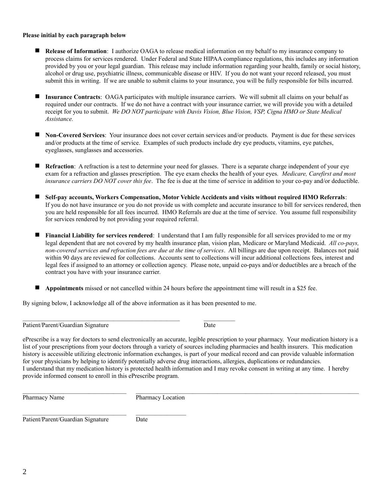#### **Please initial by each paragraph below**

- **Release of Information**: I authorize OAGA to release medical information on my behalf to my insurance company to process claims for services rendered. Under Federal and State HIPAA compliance regulations, this includes any information provided by you or your legal guardian. This release may include information regarding your health, family or social history, alcohol or drug use, psychiatric illness, communicable disease or HIV. If you do not want your record released, you must submit this in writing. If we are unable to submit claims to your insurance, you will be fully responsible for bills incurred.
- **Insurance Contracts**: OAGA participates with multiple insurance carriers. We will submit all claims on your behalf as required under our contracts. If we do not have a contract with your insurance carrier, we will provide you with a detailed receipt for you to submit. *We DO NOT participate with Davis Vision, Blue Vision, VSP, Cigna HMO or State Medical Assistance.*
- **Non-Covered Services**: Your insurance does not cover certain services and/or products. Payment is due for these services and/or products at the time of service. Examples of such products include dry eye products, vitamins, eye patches, eyeglasses, sunglasses and accessories.
- **Refraction**: A refraction is a test to determine your need for glasses. There is a separate charge independent of your eye exam for a refraction and glasses prescription. The eye exam checks the health of your eyes*. Medicare, Carefirst and most insurance carriers DO NOT cover this fee*. The fee is due at the time of service in addition to your co-pay and/or deductible.
- **Self-pay accounts, Workers Compensation, Motor Vehicle Accidents and visits without required HMO Referrals**: If you do not have insurance or you do not provide us with complete and accurate insurance to bill for services rendered, then you are held responsible for all fees incurred. HMO Referrals are due at the time of service. You assume full responsibility for services rendered by not providing your required referral.
- **Financial Liability for services rendered**: I understand that I am fully responsible for all services provided to me or my legal dependent that are not covered by my health insurance plan, vision plan, Medicare or Maryland Medicaid. *All co-pays, non-covered services and refraction fees are due at the time of services*. All billings are due upon receipt. Balances not paid within 90 days are reviewed for collections. Accounts sent to collections will incur additional collections fees, interest and legal fees if assigned to an attorney or collection agency. Please note, unpaid co-pays and/or deductibles are a breach of the contract you have with your insurance carrier.
- **Appointments** missed or not cancelled within 24 hours before the appointment time will result in a \$25 fee.

By signing below, I acknowledge all of the above information as it has been presented to me.

 $\_$  , and the set of the set of the set of the set of the set of the set of the set of the set of the set of the set of the set of the set of the set of the set of the set of the set of the set of the set of the set of th

Patient/Parent/Guardian Signature Date

ePrescribe is a way for doctors to send electronically an accurate, legible prescription to your pharmacy. Your medication history is a list of your prescriptions from your doctors through a variety of sources including pharmacies and health insurers. This medication history is accessible utilizing electronic information exchanges, is part of your medical record and can provide valuable information for your physicians by helping to identify potentially adverse drug interactions, allergies, duplications or redundancies. I understand that my medication history is protected health information and I may revoke consent in writing at any time. I hereby provide informed consent to enroll in this ePrescribe program.

 $\mathcal{L}_\mathcal{L} = \mathcal{L}_\mathcal{L} = \mathcal{L}_\mathcal{L} = \mathcal{L}_\mathcal{L} = \mathcal{L}_\mathcal{L} = \mathcal{L}_\mathcal{L} = \mathcal{L}_\mathcal{L} = \mathcal{L}_\mathcal{L} = \mathcal{L}_\mathcal{L} = \mathcal{L}_\mathcal{L} = \mathcal{L}_\mathcal{L} = \mathcal{L}_\mathcal{L} = \mathcal{L}_\mathcal{L} = \mathcal{L}_\mathcal{L} = \mathcal{L}_\mathcal{L} = \mathcal{L}_\mathcal{L} = \mathcal{L}_\mathcal{L}$ Pharmacy Name Pharmacy Location

Patient/Parent/Guardian Signature Date

 $\mathcal{L}_\text{max}$  and the contract of the contract of the contract of the contract of the contract of the contract of the contract of the contract of the contract of the contract of the contract of the contract of the contrac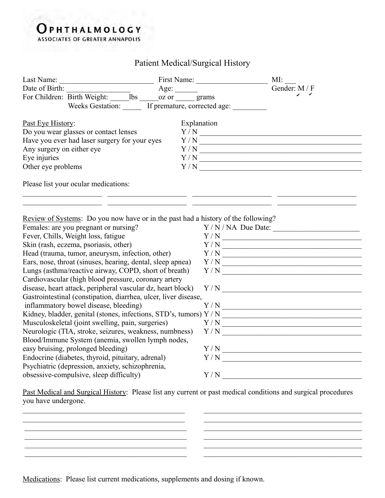## **Burn and A** OPHTHALMOLOGY **ASSOCIATES OF GREATER ANNAPOLIS**

Patient Medical/Surgical History

|                                                                                                                                                                           |                                               | MI:                |
|---------------------------------------------------------------------------------------------------------------------------------------------------------------------------|-----------------------------------------------|--------------------|
| Date of Birth:                                                                                                                                                            | Age: $\_\_$                                   | Gender: M / F      |
|                                                                                                                                                                           |                                               |                    |
|                                                                                                                                                                           | Weeks Gestation: If premature, corrected age: |                    |
| Past Eye History:                                                                                                                                                         | Explanation                                   |                    |
| Do you wear glasses or contact lenses                                                                                                                                     |                                               |                    |
| Have you ever had laser surgery for your eyes                                                                                                                             |                                               |                    |
| Any surgery on either eye                                                                                                                                                 |                                               |                    |
| Eye injuries                                                                                                                                                              |                                               |                    |
| Other eye problems                                                                                                                                                        |                                               |                    |
| Please list your ocular medications:                                                                                                                                      |                                               |                    |
| <u>Review of Systems</u> : Do you now have or in the past had a history of the following?<br>Females: are you pregnant or nursing?<br>Fever, Chills, Weight loss, fatigue |                                               | $Y/N/NA$ Due Date: |
|                                                                                                                                                                           |                                               |                    |
| Skin (rash, eczema, psoriasis, other)                                                                                                                                     |                                               |                    |
| Head (trauma, tumor, aneurysm, infection, other)                                                                                                                          |                                               | Y/N                |
| Ears, nose, throat (sinuses, hearing, dental, sleep apnea)                                                                                                                |                                               |                    |
| Lungs (asthma/reactive airway, COPD, short of breath)                                                                                                                     |                                               |                    |
| Cardiovascular (high blood pressure, coronary artery                                                                                                                      |                                               |                    |
| disease, heart attack, peripheral vascular dz, heart block)<br>Gastrointestinal (constipation, diarrhea, ulcer, liver disease,                                            |                                               |                    |
|                                                                                                                                                                           |                                               |                    |
| inflammatory bowel disease, bleeding)                                                                                                                                     |                                               |                    |
|                                                                                                                                                                           |                                               |                    |
| Musculoskeletal (joint swelling, pain, surgeries)                                                                                                                         |                                               |                    |
| Neurologic (TIA, stroke, seizures, weakness, numbness)                                                                                                                    |                                               | Y/N                |
| Blood/Immune System (anemia, swollen lymph nodes,                                                                                                                         |                                               |                    |
| easy bruising, prolonged bleeding)                                                                                                                                        |                                               |                    |
| Endocrine (diabetes, thyroid, pituitary, adrenal)                                                                                                                         |                                               | Y/N                |
| Psychiatric (depression, anxiety, schizophrenia,                                                                                                                          |                                               |                    |
| obsessive-compulsive, sleep difficulty)                                                                                                                                   |                                               | Y/N                |

Past Medical and Surgical History: Please list any current or past medical conditions and surgical procedures you have undergone.

 $\overline{\phantom{a}}$  , and the contribution of the contribution of the contribution of the contribution of the contribution of the contribution of the contribution of the contribution of the contribution of the contribution of the \_\_\_\_\_\_\_\_\_\_\_\_\_\_\_\_\_\_\_\_\_\_\_\_\_\_\_\_\_\_\_\_\_\_\_\_\_\_\_\_\_\_\_ \_\_\_\_\_\_\_\_\_\_\_\_\_\_\_\_\_\_\_\_\_\_\_\_\_\_\_\_\_\_\_\_\_\_\_\_\_\_\_\_\_\_

Medications: Please list current medications, supplements and dosing if known.

\_\_\_\_\_\_\_\_\_\_\_\_\_\_\_\_\_\_\_\_\_\_\_\_\_\_\_\_\_\_\_\_\_\_\_\_\_\_\_\_\_\_\_ \_\_\_\_\_\_\_\_\_\_\_\_\_\_\_\_\_\_\_\_\_\_\_\_\_\_\_\_\_\_\_\_\_\_\_\_\_\_\_\_\_\_

\_\_\_\_\_\_\_\_\_\_\_\_\_\_\_\_\_\_\_\_\_\_\_\_\_\_\_\_\_\_\_\_\_\_\_\_\_\_\_\_\_\_\_ \_\_\_\_\_\_\_\_\_\_\_\_\_\_\_\_\_\_\_\_\_\_\_\_\_\_\_\_\_\_\_\_\_\_\_\_\_\_\_\_\_\_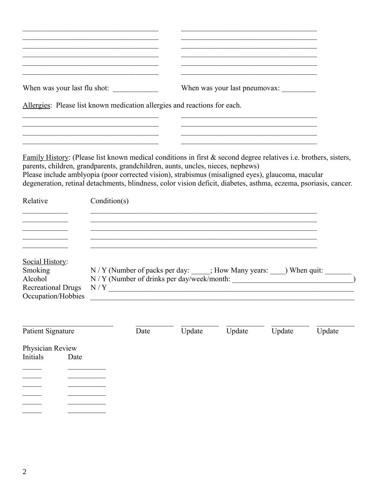|                                                                                          | the control of the control of the control of the control of the control of the control of                                                                                                                                                                                                                                                                                                                                                                                                                                            |        | <u> 1989 - Johann John Stone, mars eta bainar eta erromaniar eta erromania eta erromania eta erromania eta erroman</u><br>When was your last pneumovax:                                |        |        |  |
|------------------------------------------------------------------------------------------|--------------------------------------------------------------------------------------------------------------------------------------------------------------------------------------------------------------------------------------------------------------------------------------------------------------------------------------------------------------------------------------------------------------------------------------------------------------------------------------------------------------------------------------|--------|----------------------------------------------------------------------------------------------------------------------------------------------------------------------------------------|--------|--------|--|
|                                                                                          | Allergies: Please list known medication allergies and reactions for each.                                                                                                                                                                                                                                                                                                                                                                                                                                                            |        |                                                                                                                                                                                        |        |        |  |
|                                                                                          | the control of the control of the control of the control of the control of the control of<br><u>Family History</u> : (Please list known medical conditions in first $\&$ second degree relatives i.e. brothers, sisters,<br>parents, children, grandparents, grandchildren, aunts, uncles, nieces, nephews)<br>Please include amblyopia (poor corrected vision), strabismus (misaligned eyes), glaucoma, macular<br>degeneration, retinal detachments, blindness, color vision deficit, diabetes, asthma, eczema, psoriasis, cancer. |        | the control of the control of the control of the control of the control of the control of<br>the control of the control of the control of the control of the control of the control of |        |        |  |
| Relative                                                                                 | Condition(s)                                                                                                                                                                                                                                                                                                                                                                                                                                                                                                                         |        |                                                                                                                                                                                        |        |        |  |
|                                                                                          |                                                                                                                                                                                                                                                                                                                                                                                                                                                                                                                                      |        |                                                                                                                                                                                        |        |        |  |
| Social History:<br>Smoking<br>Alcohol<br><b>Recreational Drugs</b><br>Occupation/Hobbies | N / Y (Number of packs per day: _____; How Many years: ____) When quit: _______                                                                                                                                                                                                                                                                                                                                                                                                                                                      |        |                                                                                                                                                                                        |        |        |  |
| Patient Signature                                                                        | Date                                                                                                                                                                                                                                                                                                                                                                                                                                                                                                                                 | Update | Update                                                                                                                                                                                 | Update | Update |  |
| Physician Review<br>Initials<br>Date                                                     |                                                                                                                                                                                                                                                                                                                                                                                                                                                                                                                                      |        |                                                                                                                                                                                        |        |        |  |